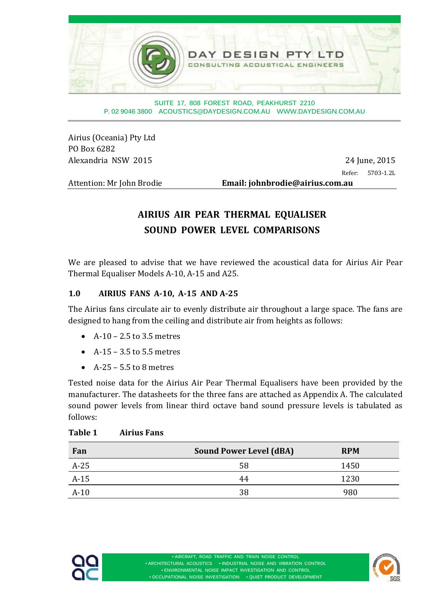

**SUITE 17, 808 FOREST ROAD, PEAKHURST 2210 P. 02 9046 3800 ACOUSTICS@DAYDESIGN.COM.AU WWW.DAYDESIGN.COM.AU** 

Airius (Oceania) Pty Ltd PO Box 6282 Alexandria NSW 2015 24 June, 2015

Refer: 5703-1.2L

Attention: Mr John Brodie **Email: iohnbrodie@airius.com.au** 

### **AIRIUS AIR PEAR THERMAL EQUALISER SOUND POWER LEVEL COMPARISONS**

We are pleased to advise that we have reviewed the acoustical data for Airius Air Pear Thermal Equaliser Models A-10, A-15 and A25.

#### **1.0 AIRIUS FANS A‐10, A‐15 AND A‐25**

The Airius fans circulate air to evenly distribute air throughout a large space. The fans are designed to hang from the ceiling and distribute air from heights as follows:

- $\bullet$  A-10 2.5 to 3.5 metres
- $\bullet$  A-15 3.5 to 5.5 metres
- $\bullet$  A-25 5.5 to 8 metres

Tested noise data for the Airius Air Pear Thermal Equalisers have been provided by the manufacturer. The datasheets for the three fans are attached as Appendix A. The calculated sound power levels from linear third octave band sound pressure levels is tabulated as follows: 

#### **Table 1 Airius Fans**

| Fan    | <b>Sound Power Level (dBA)</b> | <b>RPM</b> |
|--------|--------------------------------|------------|
| $A-25$ | 58                             | 1450       |
| $A-15$ | 44                             | 1230       |
| $A-10$ | 38                             | 980        |



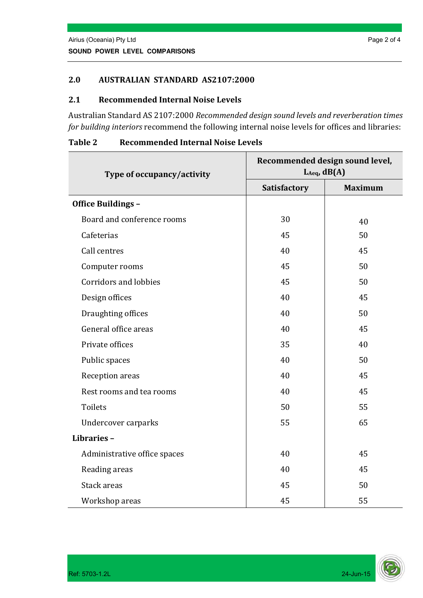#### **2.0 AUSTRALIAN STANDARD AS2107:2000**

#### **2.1 Recommended Internal Noise Levels**

Australian Standard AS 2107:2000 *Recommended design sound levels and reverberation times for building interiors* recommend the following internal noise levels for offices and libraries:

| Type of occupancy/activity   | Recommended design sound level,<br>$L$ Aeq, $dB(A)$ |                |  |
|------------------------------|-----------------------------------------------------|----------------|--|
|                              | <b>Satisfactory</b>                                 | <b>Maximum</b> |  |
| <b>Office Buildings -</b>    |                                                     |                |  |
| Board and conference rooms   | 30                                                  | 40             |  |
| Cafeterias                   | 45                                                  | 50             |  |
| Call centres                 | 40                                                  | 45             |  |
| Computer rooms               | 45                                                  | 50             |  |
| <b>Corridors and lobbies</b> | 45                                                  | 50             |  |
| Design offices               | 40                                                  | 45             |  |
| Draughting offices           | 40                                                  | 50             |  |
| General office areas         | 40                                                  | 45             |  |
| Private offices              | 35                                                  | 40             |  |
| Public spaces                | 40                                                  | 50             |  |
| Reception areas              | 40                                                  | 45             |  |
| Rest rooms and tea rooms     | 40                                                  | 45             |  |
| <b>Toilets</b>               | 50                                                  | 55             |  |
| Undercover carparks          | 55                                                  | 65             |  |
| Libraries-                   |                                                     |                |  |
| Administrative office spaces | 40                                                  | 45             |  |
| Reading areas                | 40                                                  | 45             |  |
| Stack areas                  | 45                                                  | 50             |  |
| Workshop areas               | 45                                                  | 55             |  |

#### **Table 2 Recommended Internal Noise Levels**

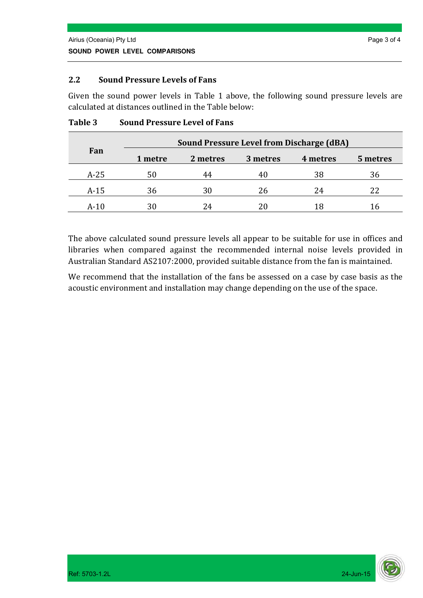#### **2.2 Sound Pressure Levels of Fans**

Given the sound power levels in Table 1 above, the following sound pressure levels are calculated at distances outlined in the Table below:

|        | <b>Sound Pressure Level from Discharge (dBA)</b> |          |          |          |          |
|--------|--------------------------------------------------|----------|----------|----------|----------|
| Fan    | 1 metre                                          | 2 metres | 3 metres | 4 metres | 5 metres |
| $A-25$ | 50                                               | 44       | 40       | 38       | 36       |
| $A-15$ | 36                                               | 30       | 26       | 24       | 22       |
| $A-10$ | 30                                               | 24       |          | 18       | 16       |

**Table 3 Sound Pressure Level of Fans**

The above calculated sound pressure levels all appear to be suitable for use in offices and libraries when compared against the recommended internal noise levels provided in Australian Standard AS2107:2000, provided suitable distance from the fan is maintained.

We recommend that the installation of the fans be assessed on a case by case basis as the acoustic environment and installation may change depending on the use of the space.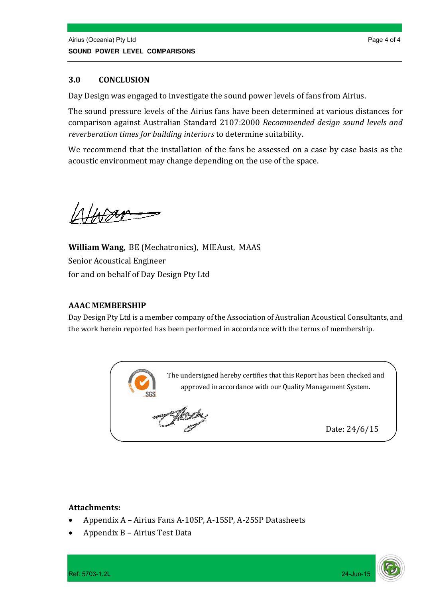#### **3.0 CONCLUSION**

Day Design was engaged to investigate the sound power levels of fans from Airius.

The sound pressure levels of the Airius fans have been determined at various distances for comparison against Australian Standard 2107:2000 *Recommended design sound levels and reverberation times for building interiors* to determine suitability. 

We recommend that the installation of the fans be assessed on a case by case basis as the acoustic environment may change depending on the use of the space.

**William Wang**, BE (Mechatronics), MIEAust, MAAS Senior Acoustical Engineer for and on behalf of Day Design Pty Ltd

#### **AAAC MEMBERSHIP**

Day Design Pty Ltd is a member company of the Association of Australian Acoustical Consultants, and the work herein reported has been performed in accordance with the terms of membership.



#### **Attachments:**

- Appendix A Airius Fans A-10SP, A-15SP, A-25SP Datasheets
- Appendix B Airius Test Data

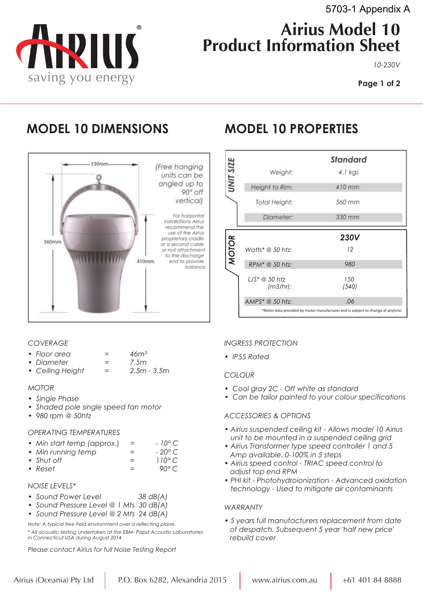# **Airius Model 10 Product Information Sheet**

*10-230V*

# **MODEL 10 DIMENSIONS MODEL 10 PROPERTIES**

**AILI** 

saving you energy



### *COVERAGE*

| • Floor area | 46 <sup>m²</sup> |
|--------------|------------------|
|              |                  |

- *Diameter = 7.5m*
- Ceiling Height =

#### *MOTOR*

- *Single Phase*
- *Shaded pole single speed fan motor*
- *980 rpm @ 50htz*

### *OPERATING TEMPERATURES*

| • Min start temp (approx.) | $=$ | $-10^{\circ}$ C |
|----------------------------|-----|-----------------|
| • Min running temp         | $=$ | $-20^{\circ}$ C |
| • Shut off                 | $=$ | $110^{\circ}$ C |
| $\bullet$ Reset            |     | ov∘ C           |

*• Reset = 90° C* 

### *NOISE LEVELS\**

- *Sound Power Level 38 dB(A)*
- *Sound Pressure Level @ 1 Mts 30 dB(A)*
- *Sound Pressure Level @ 2 Mts 24 dB(A)*

*Note: A typical free field environment over a reflecting plane.*

*\* All acoustic testing undertaken at the EBM- Papst Acoustic Laboratories in Connecticut USA during August 2014*

*Please contact Airius for full Noise Testing Report*

|              |                                | Standard                                                                       |
|--------------|--------------------------------|--------------------------------------------------------------------------------|
| UNIT SIZE    | Weight:                        | $4.1$ kgs                                                                      |
|              | Height to Rim:                 | 410 mm                                                                         |
|              | Total Height:                  | 560 mm                                                                         |
|              | Diameter:                      | 330 mm                                                                         |
|              |                                | <b>230V</b>                                                                    |
| <b>MOTOR</b> | Watts* $@$ 50 htz:             | 12                                                                             |
|              | RPM* @ 50 htz:                 | 980                                                                            |
|              | $L/S^* \t@ 50$ htz<br>(m3/hr): | 150<br>(540)                                                                   |
|              | AMPS* @ 50 htz:                | .06                                                                            |
|              |                                | *Motor data provided by motor manufacturer and is subject to change at anytime |

### *INGRESS PROTECTION*

*• IP55 Rated*

### *COLOUR*

- *Cool gray 2C Off white as standard*
- *Can be tailor painted to your colour specifications*

### *ACCESSORIES & OPTIONS*

- *Airius suspended ceiling kit Allows model 10 Airius unit to be mounted in a suspended ceiling grid*
- *Airius Transformer type speed controller 1 and 5 Amp available. 0-100% in 5 steps*
- *Airius speed control TRIAC speed control to adjust top end RPM*
- *PHI kit Photohydroionization Advanced oxidation technology - Used to mitigate air contaminants*

#### *WARRANTY*

*• 5 years full manufacturers replacement from date of despatch. Subsequent 5 year 'half new price' rebuild cover*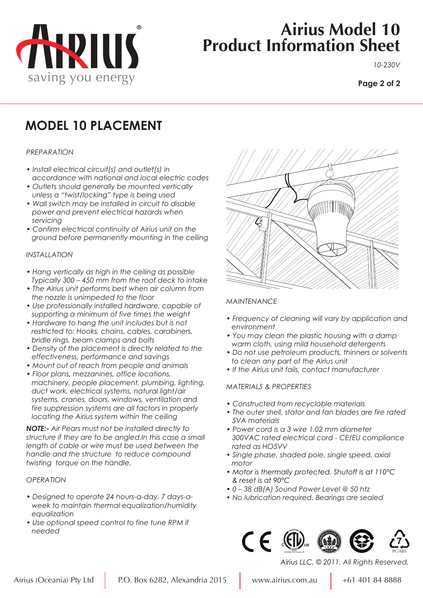

# **Airius Model 10 Product Information Sheet**

*10-230V*

#### **Page 2 of 2**

## **MODEL 10 PLACEMENT**

#### *PREPARATION*

- *Install electrical circuit(s) and outlet(s) in accordance with national and local electric codes*
- *Outlets should generally be mounted vertically unless a "twist/locking" type is being used*
- *Wall switch may be installed in circuit to disable power and prevent electrical hazards when servicing*
- *Confirm electrical continuity of Airius unit on the ground before permanently mounting in the ceiling*

#### *INSTALLATION*

- *Hang vertically as high in the ceiling as possible Typically 300 – 450 mm from the roof deck to intake*
- *The Airius unit performs best when air column from the nozzle is unimpeded to the floor*
- *Use professionally installed hardware, capable of supporting a minimum of five times the weight*
- *Hardware to hang the unit includes but is not restricted to: Hooks, chains, cables, carabiners, bridle rings, beam clamps and bolts*
- *Density of the placement is directly related to the effectiveness, performance and savings*
- *Mount out of reach from people and animals*
- *Floor plans, mezzanines, office locations, machinery, people placement, plumbing, lighting, duct work, electrical systems, natural light/air systems, cranes, doors, windows, ventilation and fire suppression systems are all factors in properly locating the Airius system within the ceiling*

*NOTE:- Air Pears must not be installed directly to structure if they are to be angled.In this case a small length of cable or wire must be used between the handle and the structure to reduce compound twisting torque on the handle.*

#### *OPERATION*

- *Designed to operate 24 hours-a-day, 7 days-a week to maintain thermal equalization/humidity equalization*
- *Use optional speed control to fine tune RPM if needed*



#### *MAINTENANCE*

- *Frequency of cleaning will vary by application and environment*
- *You may clean the plastic housing with a damp warm cloth, using mild household detergents*
- *Do not use petroleum products, thinners or solvents to clean any part of the Airius unit*
- *If the Airius unit fails, contact manufacturer*

#### *MATERIALS & PROPERTIES*

- *Constructed from recyclable materials*
- *The outer shell, stator and fan blades are fire rated 5VA materials*
- *Power cord is a 3 wire 1.02 mm diameter 300VAC rated electrical cord - CE/EU compliance rated as HO5VV*
- *Single phase, shaded pole, single speed, axial motor*
- *Motor is thermally protected. Shutoff is at 110°C & reset is at 90°C*
- *0 38 dB(A) Sound Power Level @ 50 htz*
- *No lubrication required. Bearings are sealed*



*Airius LLC, © 2011. All Rights Reserved.*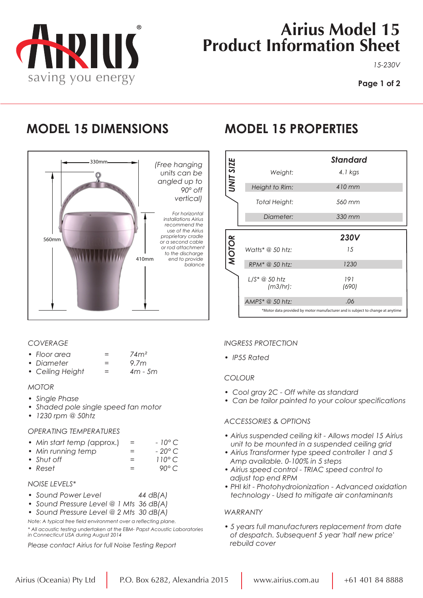

# **Airius Model 15 Product Information Sheet**

*15-230V*

**Page 1 of 2**

### **MODEL 15 DIMENSIONS MODEL 15 PROPERTIES**



|                  |                            | <b>Standard</b>                                                                       |
|------------------|----------------------------|---------------------------------------------------------------------------------------|
| <b>UNIT SIZE</b> | Weight:                    | 4.1 $kgs$                                                                             |
|                  | Height to Rim:             | $410$ mm                                                                              |
|                  | Total Height:              | 560 mm                                                                                |
|                  | Diameter:                  | 330 mm                                                                                |
|                  |                            | <b>230V</b>                                                                           |
|                  |                            |                                                                                       |
|                  | Watts* @ 50 htz:           | 15                                                                                    |
| <b>MOTOR</b>     | RPM <sup>*</sup> @ 50 htz: | 1230                                                                                  |
|                  | (m3/hr):                   | 191<br>(690)                                                                          |
|                  | AMPS* @ 50 htz:            | .06<br>*Motor data provided by motor manufacturer and is subject to change at anytime |

#### *COVERAGE*

| • Floor area | 74m <sup>2</sup> |  |
|--------------|------------------|--|
|              |                  |  |

- *Diameter = 9.7m*
- *Ceiling Height = 4m 5m*

#### *MOTOR*

- *Single Phase*
- *Shaded pole single speed fan motor*
- *1230 rpm @ 50htz*

#### *OPERATING TEMPERATURES*

| • Min start temp (approx.) | $=$ | $-10^{\circ}$ C |
|----------------------------|-----|-----------------|
| • Min running temp         |     | $-20^{\circ}$ C |

| • Shut off |  | $110^{\circ}$ C |
|------------|--|-----------------|
| • Reset    |  | 90° C           |

#### *NOISE LEVELS\**

- *Sound Power Level 44 dB(A)*
- *Sound Pressure Level @ 1 Mts 36 dB(A)*
- *Sound Pressure Level @ 2 Mts 30 dB(A)*

*Note: A typical free field environment over a reflecting plane. \* All acoustic testing undertaken at the EBM- Papst Acoustic Laboratories in Connecticut USA during August 2014*

*Please contact Airius for full Noise Testing Report*

#### *INGRESS PROTECTION*

*• IP55 Rated*

#### *COLOUR*

- *Cool gray 2C Off white as standard*
- *Can be tailor painted to your colour specifications*

#### *ACCESSORIES & OPTIONS*

- *Airius suspended ceiling kit Allows model 15 Airius unit to be mounted in a suspended ceiling grid*
- *Airius Transformer type speed controller 1 and 5 Amp available. 0-100% in 5 steps*
- *Airius speed control TRIAC speed control to adjust top end RPM*
- *PHI kit Photohydroionization Advanced oxidation technology - Used to mitigate air contaminants*

#### *WARRANTY*

*• 5 years full manufacturers replacement from date of despatch. Subsequent 5 year 'half new price' rebuild cover*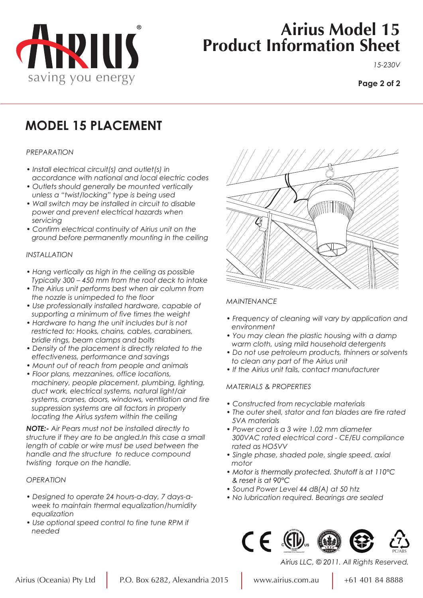

# **Airius Model 15 Product Information Sheet**

*15-230V*

#### **Page 2 of 2**

## **MODEL 15 PLACEMENT**

#### *PREPARATION*

- *Install electrical circuit(s) and outlet(s) in accordance with national and local electric codes*
- *Outlets should generally be mounted vertically unless a "twist/locking" type is being used*
- *Wall switch may be installed in circuit to disable power and prevent electrical hazards when servicing*
- *Confirm electrical continuity of Airius unit on the ground before permanently mounting in the ceiling*

#### *INSTALLATION*

- *Hang vertically as high in the ceiling as possible Typically 300 – 450 mm from the roof deck to intake*
- *The Airius unit performs best when air column from the nozzle is unimpeded to the floor*
- *Use professionally installed hardware, capable of supporting a minimum of five times the weight*
- *Hardware to hang the unit includes but is not restricted to: Hooks, chains, cables, carabiners, bridle rings, beam clamps and bolts*
- *Density of the placement is directly related to the effectiveness, performance and savings*
- *Mount out of reach from people and animals*
- *Floor plans, mezzanines, office locations, machinery, people placement, plumbing, lighting, duct work, electrical systems, natural light/air systems, cranes, doors, windows, ventilation and fire suppression systems are all factors in properly locating the Airius system within the ceiling*

*NOTE:- Air Pears must not be installed directly to structure if they are to be angled.In this case a small length of cable or wire must be used between the handle and the structure to reduce compound twisting torque on the handle.*

#### *OPERATION*

- *Designed to operate 24 hours-a-day, 7 days-a week to maintain thermal equalization/humidity equalization*
- *Use optional speed control to fine tune RPM if needed*



#### *MAINTENANCE*

- *Frequency of cleaning will vary by application and environment*
- *You may clean the plastic housing with a damp warm cloth, using mild household detergents*
- *Do not use petroleum products, thinners or solvents to clean any part of the Airius unit*
- *If the Airius unit fails, contact manufacturer*

#### *MATERIALS & PROPERTIES*

- *Constructed from recyclable materials*
- *The outer shell, stator and fan blades are fire rated 5VA materials*
- *Power cord is a 3 wire 1.02 mm diameter 300VAC rated electrical cord - CE/EU compliance rated as HO5VV*
- *Single phase, shaded pole, single speed, axial motor*
- *Motor is thermally protected. Shutoff is at 110°C & reset is at 90°C*
- *Sound Power Level 44 dB(A) at 50 htz*
- *No lubrication required. Bearings are sealed*



*Airius LLC, © 2011. All Rights Reserved.*

PC/ABS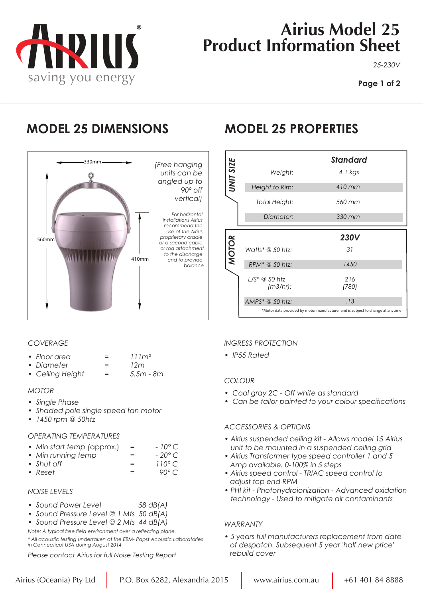

# **Airius Model 25 Product Information Sheet**

*25-230V*

**Page 1 of 2**

### **MODEL 25 DIMENSIONS MODEL 25 PROPERTIES**



|                  |                            | <b>Standard</b> |
|------------------|----------------------------|-----------------|
| <b>UNIT SIZE</b> | Weight:                    | 4.1 kgs         |
|                  | Height to Rim:             | $410$ mm        |
|                  | Total Height:              | 560 mm          |
|                  | Diameter:                  | 330 mm          |
|                  |                            |                 |
|                  |                            | <b>230V</b>     |
|                  | Watts* $@$ 50 htz:         | 31              |
| <b>MOTOR</b>     | RPM <sup>*</sup> @ 50 htz: | 1450            |
|                  | (m3/hr):                   | 216<br>(780)    |
|                  | AMPS* @ 50 htz:            | .13             |

#### *COVERAGE*

|  | • Floor area |  | 111m <sup>2</sup> |
|--|--------------|--|-------------------|
|--|--------------|--|-------------------|

- *Diameter = 12m*
- *Ceiling Height = 5.5m 8m*

#### *MOTOR*

- *Single Phase*
- *Shaded pole single speed fan motor*
- *1450 rpm @ 50htz*

#### *OPERATING TEMPERATURES*

| • Min start temp (approx.) | $-10^{\circ}$ C |
|----------------------------|-----------------|
| $\bullet$ Min running tamp | $-20^{\circ}$ C |

- *Min running temp = 20° C*
- *Shut off = 110° C*  • *Reset* = 90° C **Propriate = 90°** C **Propriate = 90°** C **Propriate = 90°** C **Propriate = 90°** C **C**

#### *NOISE LEVELS*

- *Sound Power Level 58 dB(A)*
- *Sound Pressure Level @ 1 Mts 50 dB(A)*
- *Sound Pressure Level @ 2 Mts 44 dB(A)*

*Note: A typical free field environment over a reflecting plane.*

*\* All acoustic testing undertaken at the EBM- Papst Acoustic Laboratories in Connecticut USA during August 2014*

*Please contact Airius for full Noise Testing Report*

#### *INGRESS PROTECTION*

*• IP55 Rated*

#### *COLOUR*

- *Cool gray 2C Off white as standard*
- *Can be tailor painted to your colour specifications*

#### *ACCESSORIES & OPTIONS*

- *Airius suspended ceiling kit Allows model 15 Airius unit to be mounted in a suspended ceiling grid*
- *Airius Transformer type speed controller 1 and 5 Amp available. 0-100% in 5 steps*
- *Airius speed control TRIAC speed control to adjust top end RPM*
- *PHI kit Photohydroionization Advanced oxidation technology - Used to mitigate air contaminants*

#### *WARRANTY*

*• 5 years full manufacturers replacement from date of despatch. Subsequent 5 year 'half new price' rebuild cover*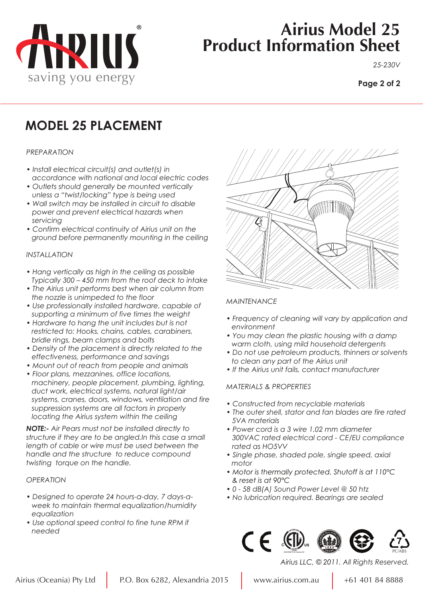

# **Airius Model 25 Product Information Sheet**

*25-230V*

#### **Page 2 of 2**

## **MODEL 25 PLACEMENT**

#### *PREPARATION*

- *Install electrical circuit(s) and outlet(s) in accordance with national and local electric codes*
- *Outlets should generally be mounted vertically unless a "twist/locking" type is being used*
- *Wall switch may be installed in circuit to disable power and prevent electrical hazards when servicing*
- *Confirm electrical continuity of Airius unit on the ground before permanently mounting in the ceiling*

#### *INSTALLATION*

- *Hang vertically as high in the ceiling as possible Typically 300 – 450 mm from the roof deck to intake*
- *The Airius unit performs best when air column from the nozzle is unimpeded to the floor*
- *Use professionally installed hardware, capable of supporting a minimum of five times the weight*
- *Hardware to hang the unit includes but is not restricted to: Hooks, chains, cables, carabiners, bridle rings, beam clamps and bolts*
- *Density of the placement is directly related to the effectiveness, performance and savings*
- *Mount out of reach from people and animals*
- *Floor plans, mezzanines, office locations, machinery, people placement, plumbing, lighting, duct work, electrical systems, natural light/air systems, cranes, doors, windows, ventilation and fire suppression systems are all factors in properly locating the Airius system within the ceiling*

*NOTE:- Air Pears must not be installed directly to structure if they are to be angled.In this case a small length of cable or wire must be used between the handle and the structure to reduce compound twisting torque on the handle.*

#### *OPERATION*

- *Designed to operate 24 hours-a-day, 7 days-a week to maintain thermal equalization/humidity equalization*
- *Use optional speed control to fine tune RPM if needed*



#### *MAINTENANCE*

- *Frequency of cleaning will vary by application and environment*
- *You may clean the plastic housing with a damp warm cloth, using mild household detergents*
- *Do not use petroleum products, thinners or solvents to clean any part of the Airius unit*
- *If the Airius unit fails, contact manufacturer*

#### *MATERIALS & PROPERTIES*

- *Constructed from recyclable materials*
- *The outer shell, stator and fan blades are fire rated 5VA materials*
- *Power cord is a 3 wire 1.02 mm diameter 300VAC rated electrical cord - CE/EU compliance rated as HO5VV*
- *Single phase, shaded pole, single speed, axial motor*
- *Motor is thermally protected. Shutoff is at 110°C & reset is at 90°C*
- *0 58 dB(A) Sound Power Level @ 50 htz*
- *No lubrication required. Bearings are sealed*





*Airius LLC, © 2011. All Rights Reserved.*